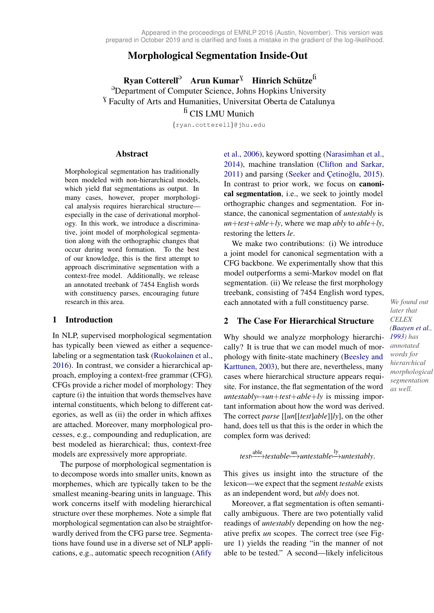# Morphological Segmentation Inside-Out

Ryan Cotterell<sup>9</sup> Arun Kumar<sup>V</sup> Hinrich Schütze<sup>fi</sup> <sup>3</sup>Department of Computer Science, Johns Hopkins University <sup>V</sup> Faculty of Arts and Humanities, Universitat Oberta de Catalunya

 $h$  CIS LMU Munich

{ryan.cotterell}@jhu.edu

### Abstract

Morphological segmentation has traditionally been modeled with non-hierarchical models, which yield flat segmentations as output. In many cases, however, proper morphological analysis requires hierarchical structure especially in the case of derivational morphology. In this work, we introduce a discriminative, joint model of morphological segmentation along with the orthographic changes that occur during word formation. To the best of our knowledge, this is the first attempt to approach discriminative segmentation with a context-free model. Additionally, we release an annotated treebank of 7454 English words with constituency parses, encouraging future

# 1 Introduction

In NLP, supervised morphological segmentation has typically been viewed as either a sequencelabeling or a segmentation task [\(Ruokolainen et al.,](#page-5-0) [2016\)](#page-5-0). In contrast, we consider a hierarchical approach, employing a context-free grammar (CFG). CFGs provide a richer model of morphology: They capture (i) the intuition that words themselves have internal constituents, which belong to different categories, as well as (ii) the order in which affixes are attached. Moreover, many morphological processes, e.g., compounding and reduplication, are best modeled as hierarchical; thus, context-free models are expressively more appropriate.

The purpose of morphological segmentation is to decompose words into smaller units, known as morphemes, which are typically taken to be the smallest meaning-bearing units in language. This work concerns itself with modeling hierarchical structure over these morphemes. Note a simple flat morphological segmentation can also be straightforwardly derived from the CFG parse tree. Segmentations have found use in a diverse set of NLP applications, e.g., automatic speech recognition [\(Afify](#page-4-1)

[et al.,](#page-4-1) [2006\)](#page-4-1), keyword spotting [\(Narasimhan et al.,](#page-5-1) [2014\)](#page-5-1), machine translation [\(Clifton and Sarkar,](#page-5-2)  $2011$ ) and parsing [\(Seeker and](#page-5-3) Çetinoğlu,  $2015$ ). In contrast to prior work, we focus on canonical segmentation, i.e., we seek to jointly model orthographic changes and segmentation. For instance, the canonical segmentation of *untestably* is *un*+*test*+*able*+*ly*, where we map *ably* to *able*+*ly*, restoring the letters *le*.

research in this area. *We found out* **each annotated with a full constituency parse.** *We found out* We make two contributions: (i) We introduce a joint model for canonical segmentation with a CFG backbone. We experimentally show that this model outperforms a semi-Markov model on flat segmentation. (ii) We release the first morphology treebank, consisting of 7454 English word types,

# 2 The Case For Hierarchical Structure

*[1993\)](#page-4-0) has* Why should we analyze morphology hierarchically? It is true that we can model much of morphology with finite-state machinery [\(Beesley and](#page-4-2) [Karttunen,](#page-4-2) [2003\)](#page-4-2), but there are, nevertheless, many cases where hierarchical structure appears requisite. For instance, the flat segmentation of the word  $untestably \mapsto un + test + able + ly$  is missing important information about how the word was derived. The correct *parse* [[*un*[[*test*]*able*]]*ly*], on the other hand, does tell us that this is the order in which the complex form was derived:

$$
test \xrightarrow{able} testable \xrightarrow{un} untestable \xrightarrow{ly} untestably.
$$

This gives us insight into the structure of the lexicon—we expect that the segment *testable* exists as an independent word, but *ably* does not.

Moreover, a flat segmentation is often semantically ambiguous. There are two potentially valid readings of *untestably* depending on how the negative prefix *un* scopes. The correct tree (see Figure [1\)](#page-1-0) yields the reading "in the manner of not able to be tested." A second—likely infelicitous

*later that CELEX [\(Baayen et al.,](#page-4-0) annotated words for hierarchical morphological segmentation as well.*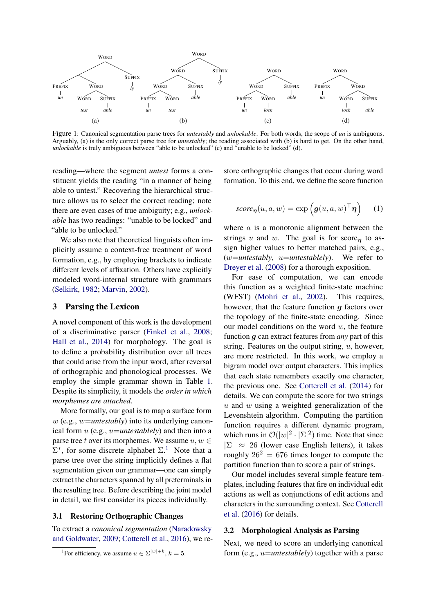<span id="page-1-0"></span>

Figure 1: Canonical segmentation parse trees for *untestably* and *unlockable*. For both words, the scope of *un* is ambiguous. Arguably, (a) is the only correct parse tree for *untestably*; the reading associated with (b) is hard to get. On the other hand, *unlockable* is truly ambiguous between "able to be unlocked" (c) and "unable to be locked" (d).

reading—where the segment *untest* forms a constituent yields the reading "in a manner of being able to untest." Recovering the hierarchical structure allows us to select the correct reading; note there are even cases of true ambiguity; e.g., *unlockable* has two readings: "unable to be locked" and "able to be unlocked."

We also note that theoretical linguists often implicitly assume a context-free treatment of word formation, e.g., by employing brackets to indicate different levels of affixation. Others have explicitly modeled word-internal structure with grammars [\(Selkirk,](#page-5-4) [1982;](#page-5-4) [Marvin,](#page-5-5) [2002\)](#page-5-5).

# 3 Parsing the Lexicon

A novel component of this work is the development of a discriminative parser [\(Finkel et al.,](#page-5-6) [2008;](#page-5-6) [Hall et al.,](#page-5-7) [2014\)](#page-5-7) for morphology. The goal is to define a probability distribution over all trees that could arise from the input word, after reversal of orthographic and phonological processes. We employ the simple grammar shown in Table [1.](#page-2-0) Despite its simplicity, it models the *order in which morphemes are attached*.

More formally, our goal is to map a surface form w (e.g., w=*untestably*) into its underlying canonical form u (e.g., u=*untestablely*) and then into a parse tree t over its morphemes. We assume  $u, w \in$  $\Sigma^*$ , for some discrete alphabet  $\Sigma$ .<sup>[1](#page-1-1)</sup> Note that a parse tree over the string implicitly defines a flat segmentation given our grammar—one can simply extract the characters spanned by all preterminals in the resulting tree. Before describing the joint model in detail, we first consider its pieces individually.

#### 3.1 Restoring Orthographic Changes

To extract a *canonical segmentation* [\(Naradowsky](#page-5-8) [and Goldwater,](#page-5-8) [2009;](#page-5-8) [Cotterell et al.,](#page-5-9) [2016\)](#page-5-9), we restore orthographic changes that occur during word formation. To this end, we define the score function

$$
score_{\eta}(u, a, w) = \exp\left(g(u, a, w)^{\top} \eta\right) \quad (1)
$$

where  $\alpha$  is a monotonic alignment between the strings u and w. The goal is for score<sub>n</sub> to assign higher values to better matched pairs, e.g., (w=*untestably*, u=*untestablely*). We refer to [Dreyer et al.](#page-5-10) [\(2008\)](#page-5-10) for a thorough exposition.

For ease of computation, we can encode this function as a weighted finite-state machine (WFST) [\(Mohri et al.,](#page-5-11) [2002\)](#page-5-11). This requires, however, that the feature function  $q$  factors over the topology of the finite-state encoding. Since our model conditions on the word  $w$ , the feature function g can extract features from *any* part of this string. Features on the output string,  $u$ , however, are more restricted. In this work, we employ a bigram model over output characters. This implies that each state remembers exactly one character, the previous one. See [Cotterell et al.](#page-5-12) [\(2014\)](#page-5-12) for details. We can compute the score for two strings  $u$  and  $w$  using a weighted generalization of the Levenshtein algorithm. Computing the partition function requires a different dynamic program, which runs in  $\mathcal{O}(|w|^2 \cdot |\Sigma|^2)$  time. Note that since  $|\Sigma| \approx 26$  (lower case English letters), it takes roughly  $26^2 = 676$  times longer to compute the partition function than to score a pair of strings.

Our model includes several simple feature templates, including features that fire on individual edit actions as well as conjunctions of edit actions and characters in the surrounding context. See [Cotterell](#page-5-9) [et al.](#page-5-9) [\(2016\)](#page-5-9) for details.

#### 3.2 Morphological Analysis as Parsing

Next, we need to score an underlying canonical form (e.g., u=*untestablely*) together with a parse

<span id="page-1-1"></span><sup>&</sup>lt;sup>1</sup>For efficiency, we assume  $u \in \Sigma^{|w|+k}$ ,  $k=5$ .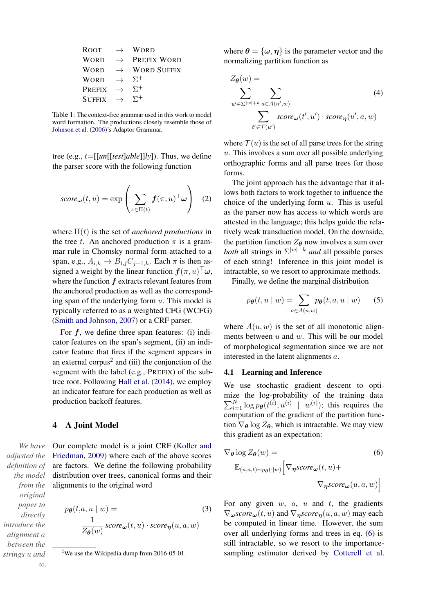<span id="page-2-0"></span>

| <b>ROOT</b>     | $\rightarrow$ | <b>WORD</b>        |
|-----------------|---------------|--------------------|
| <b>WORD</b>     | $\rightarrow$ | PREFIX WORD        |
| <b>WORD</b>     | $\rightarrow$ | <b>WORD SUFFIX</b> |
| <b>WORD</b>     | $\rightarrow$ | $\Sigma^+$         |
| <b>PREFIX</b>   | $\rightarrow$ | $\Sigma^+$         |
| $S \rightarrow$ |               | $\Sigma^+$         |

Table 1: The context-free grammar used in this work to model word formation. The productions closely resemble those of [Johnson et al.](#page-5-13) [\(2006\)](#page-5-13)'s Adaptor Grammar.

tree (e.g.,  $t = [[un[[test]able]]/v])$ . Thus, we define the parser score with the following function

$$
score_{\boldsymbol{\omega}}(t, u) = \exp\left(\sum_{\pi \in \Pi(t)} \boldsymbol{f}(\pi, u)^\top \boldsymbol{\omega}\right) \quad (2)
$$

where  $\Pi(t)$  is the set of *anchored productions* in the tree t. An anchored production  $\pi$  is a grammar rule in Chomsky normal form attached to a span, e.g.,  $A_{i,k} \rightarrow B_{i,j}C_{j+1,k}$ . Each  $\pi$  is then assigned a weight by the linear function  $f(\pi, u)^\top \omega$ , where the function  $f$  extracts relevant features from the anchored production as well as the corresponding span of the underlying form  $u$ . This model is typically referred to as a weighted CFG (WCFG) [\(Smith and Johnson,](#page-5-14) [2007\)](#page-5-14) or a CRF parser.

For  $f$ , we define three span features: (i) indicator features on the span's segment, (ii) an indicator feature that fires if the segment appears in an external corpus<sup>[2](#page-2-1)</sup> and (iii) the conjunction of the segment with the label (e.g., PREFIX) of the subtree root. Following [Hall et al.](#page-5-7) [\(2014\)](#page-5-7), we employ an indicator feature for each production as well as production backoff features.

# 4 A Joint Model

*We have adjusted the definition of the model from the* Our complete model is a joint CRF [\(Koller and](#page-5-15) [Friedman,](#page-5-15) [2009\)](#page-5-15) where each of the above scores are factors. We define the following probability distribution over trees, canonical forms and their alignments to the original word

$$
p_{\theta}(t, a, u \mid w) = \frac{1}{Z_{\theta}(w)} \text{score}_{\omega}(t, u) \cdot \text{score}_{\eta}(u, a, w)
$$
 (3)

where  $\theta = {\omega, \eta}$  is the parameter vector and the normalizing partition function as

$$
Z_{\theta}(w) = \sum_{u' \in \Sigma^{|w|+k}} \sum_{a \in A(u',w)} (4)
$$
  

$$
\sum_{t' \in \mathcal{T}(u')} score_{\omega}(t', u') \cdot score_{\eta}(u', a, w)
$$

where  $\mathcal{T}(u)$  is the set of all parse trees for the string  $u$ . This involves a sum over all possible underlying orthographic forms and all parse trees for those forms.

The joint approach has the advantage that it allows both factors to work together to influence the choice of the underlying form  $u$ . This is useful as the parser now has access to which words are attested in the language; this helps guide the relatively weak transduction model. On the downside, the partition function  $Z_{\theta}$  now involves a sum over *both* all strings in  $\Sigma^{|w|+k}$  *and* all possible parses of each string! Inference in this joint model is intractable, so we resort to approximate methods.

Finally, we define the marginal distribution

$$
p_{\theta}(t, u \mid w) = \sum_{a \in A(u, w)} p_{\theta}(t, a, u \mid w) \qquad (5)
$$

where  $A(u, w)$  is the set of all monotonic alignments between  $u$  and  $w$ . This will be our model of morphological segmentation since we are not interested in the latent alignments a.

#### 4.1 Learning and Inference

We use stochastic gradient descent to optimize the log-probability of the training data  $\sum_{i=1}^{N} \log p_{\theta}(t^{(i)}, u^{(i)} \mid w^{(i)})$ ; this requires the computation of the gradient of the partition function  $\nabla_{\theta}$  log  $Z_{\theta}$ , which is intractable. We may view this gradient as an expectation:

<span id="page-2-2"></span>
$$
\nabla_{\theta} \log Z_{\theta}(w) =
$$
\n
$$
\mathbb{E}_{(u,a,t)\sim p_{\theta}(\cdot|w)} \Big[ \nabla_{\eta} \text{score}_{\omega}(t,u) + \nabla_{\eta} \text{score}_{\omega}(u,a,w) \Big]
$$
\n(6)

For any given  $w$ ,  $a$ ,  $u$  and  $t$ , the gradients  $\nabla_{\omega} \textit{score}_{\omega}(t, u)$  and  $\nabla_{\mathbf{n}} \textit{score}_{\mathbf{n}}(u, a, w)$  may each be computed in linear time. However, the sum over all underlying forms and trees in eq. [\(6\)](#page-2-2) is still intractable, so we resort to the importancesampling estimator derived by [Cotterell et al.](#page-5-9)

w*.*

*original paper to directly introduce the alignment* a *between the strings* u *and*

<span id="page-2-1"></span><sup>&</sup>lt;sup>2</sup>We use the Wikipedia dump from  $2016-05-01$ .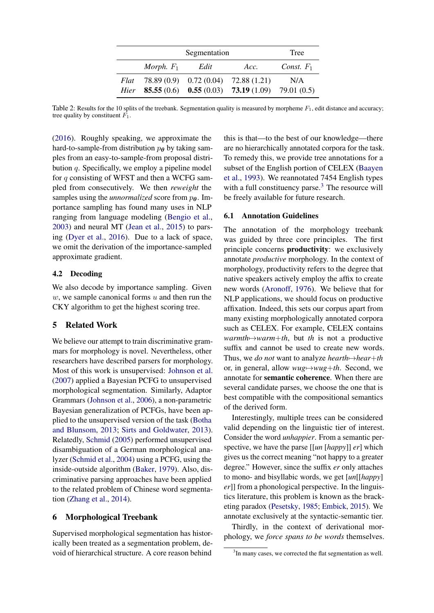<span id="page-3-1"></span>

|      | Segmentation |      |                                                           |                     |
|------|--------------|------|-----------------------------------------------------------|---------------------|
|      | Morph. $F_1$ | Edit | Acc.                                                      | <i>Const.</i> $F_1$ |
| Flat |              |      | 78.89 (0.9) 0.72 (0.04) 72.88 (1.21)                      | N/A                 |
| Hier |              |      | <b>85.55</b> (0.6) <b>0.55</b> (0.03) <b>73.19</b> (1.09) | 79.01 (0.5)         |

Table 2: Results for the 10 splits of the treebank. Segmentation quality is measured by morpheme  $F_1$ , edit distance and accuracy; tree quality by constituent  $F_1$ .

[\(2016\)](#page-5-9). Roughly speaking, we approximate the hard-to-sample-from distribution  $p_{\theta}$  by taking samples from an easy-to-sample-from proposal distribution  $q$ . Specifically, we employ a pipeline model for  $q$  consisting of WFST and then a WCFG sampled from consecutively. We then *reweight* the samples using the *unnormalized* score from  $p_{\theta}$ . Importance sampling has found many uses in NLP ranging from language modeling [\(Bengio et al.,](#page-4-3) [2003\)](#page-4-3) and neural MT [\(Jean et al.,](#page-5-16) [2015\)](#page-5-16) to parsing [\(Dyer et al.,](#page-5-17) [2016\)](#page-5-17). Due to a lack of space, we omit the derivation of the importance-sampled approximate gradient.

# 4.2 Decoding

We also decode by importance sampling. Given  $w$ , we sample canonical forms  $u$  and then run the CKY algorithm to get the highest scoring tree.

# 5 Related Work

We believe our attempt to train discriminative grammars for morphology is novel. Nevertheless, other researchers have described parsers for morphology. Most of this work is unsupervised: [Johnson et al.](#page-5-18) [\(2007\)](#page-5-18) applied a Bayesian PCFG to unsupervised morphological segmentation. Similarly, Adaptor Grammars [\(Johnson et al.,](#page-5-13) [2006\)](#page-5-13), a non-parametric Bayesian generalization of PCFGs, have been applied to the unsupervised version of the task [\(Botha](#page-4-4) [and Blunsom,](#page-4-4) [2013;](#page-4-4) [Sirts and Goldwater,](#page-5-19) [2013\)](#page-5-19). Relatedly, [Schmid](#page-5-20) [\(2005\)](#page-5-20) performed unsupervised disambiguation of a German morphological analyzer [\(Schmid et al.,](#page-5-21) [2004\)](#page-5-21) using a PCFG, using the inside-outside algorithm [\(Baker,](#page-4-5) [1979\)](#page-4-5). Also, discriminative parsing approaches have been applied to the related problem of Chinese word segmentation [\(Zhang et al.,](#page-5-22) [2014\)](#page-5-22).

# 6 Morphological Treebank

Supervised morphological segmentation has historically been treated as a segmentation problem, devoid of hierarchical structure. A core reason behind

this is that—to the best of our knowledge—there are no hierarchically annotated corpora for the task. To remedy this, we provide tree annotations for a subset of the English portion of CELEX [\(Baayen](#page-4-0) [et al.,](#page-4-0) [1993\)](#page-4-0). We reannotated 7454 English types with a full constituency parse.<sup>[3](#page-3-0)</sup> The resource will be freely available for future research.

# 6.1 Annotation Guidelines

The annotation of the morphology treebank was guided by three core principles. The first principle concerns productivity: we exclusively annotate *productive* morphology. In the context of morphology, productivity refers to the degree that native speakers actively employ the affix to create new words [\(Aronoff,](#page-4-6) [1976\)](#page-4-6). We believe that for NLP applications, we should focus on productive affixation. Indeed, this sets our corpus apart from many existing morphologically annotated corpora such as CELEX. For example, CELEX contains  $warmth \rightarrow warm+th$ , but *th* is not a productive suffix and cannot be used to create new words. Thus, we *do not* want to analyze *hearth*7→*hear*+*th* or, in general, allow *wug*7→*wug*+*th*. Second, we annotate for semantic coherence. When there are several candidate parses, we choose the one that is best compatible with the compositional semantics of the derived form.

Interestingly, multiple trees can be considered valid depending on the linguistic tier of interest. Consider the word *unhappier*. From a semantic perspective, we have the parse [[*un* [*happy*]] *er*] which gives us the correct meaning "not happy to a greater degree." However, since the suffix *er* only attaches to mono- and bisyllabic words, we get [*un*[[*happy*] *er*]] from a phonological perspective. In the linguistics literature, this problem is known as the bracketing paradox [\(Pesetsky,](#page-5-23) [1985;](#page-5-23) [Embick,](#page-5-24) [2015\)](#page-5-24). We annotate exclusively at the syntactic-semantic tier.

Thirdly, in the context of derivational morphology, we *force spans to be words* themselves.

<span id="page-3-0"></span><sup>&</sup>lt;sup>3</sup>In many cases, we corrected the flat segmentation as well.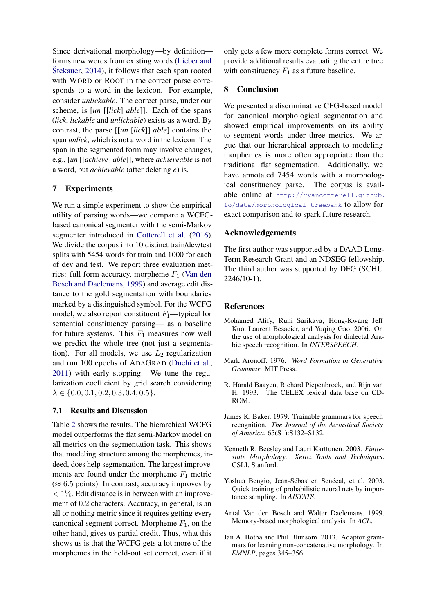Since derivational morphology—by definition forms new words from existing words [\(Lieber and](#page-5-25)  $\text{Stekauer}, 2014$  $\text{Stekauer}, 2014$  $\text{Stekauer}, 2014$ , it follows that each span rooted with WORD or ROOT in the correct parse corresponds to a word in the lexicon. For example, consider *unlickable*. The correct parse, under our scheme, is [*un* [[*lick*] *able*]]. Each of the spans (*lick*, *lickable* and *unlickable*) exists as a word. By contrast, the parse [[*un* [*lick*]] *able*] contains the span *unlick*, which is not a word in the lexicon. The span in the segmented form may involve changes, e.g., [*un* [[*achieve*] *able*]], where *achieveable* is not a word, but *achievable* (after deleting *e*) is.

# 7 Experiments

We run a simple experiment to show the empirical utility of parsing words—we compare a WCFGbased canonical segmenter with the semi-Markov segmenter introduced in [Cotterell et al.](#page-5-9) [\(2016\)](#page-5-9). We divide the corpus into 10 distinct train/dev/test splits with 5454 words for train and 1000 for each of dev and test. We report three evaluation metrics: full form accuracy, morpheme  $F_1$  [\(Van den](#page-4-7) [Bosch and Daelemans,](#page-4-7) [1999\)](#page-4-7) and average edit distance to the gold segmentation with boundaries marked by a distinguished symbol. For the WCFG model, we also report constituent  $F_1$ —typical for sentential constituency parsing— as a baseline for future systems. This  $F_1$  measures how well we predict the whole tree (not just a segmentation). For all models, we use  $L_2$  regularization and run 100 epochs of ADAGRAD [\(Duchi et al.,](#page-5-26) [2011\)](#page-5-26) with early stopping. We tune the regularization coefficient by grid search considering  $\lambda \in \{0.0, 0.1, 0.2, 0.3, 0.4, 0.5\}.$ 

# 7.1 Results and Discussion

Table [2](#page-3-1) shows the results. The hierarchical WCFG model outperforms the flat semi-Markov model on all metrics on the segmentation task. This shows that modeling structure among the morphemes, indeed, does help segmentation. The largest improvements are found under the morpheme  $F_1$  metric  $(\approx 6.5 \text{ points})$ . In contrast, accuracy improves by  $< 1\%$ . Edit distance is in between with an improvement of 0.2 characters. Accuracy, in general, is an all or nothing metric since it requires getting every canonical segment correct. Morpheme  $F_1$ , on the other hand, gives us partial credit. Thus, what this shows us is that the WCFG gets a lot more of the morphemes in the held-out set correct, even if it

only gets a few more complete forms correct. We provide additional results evaluating the entire tree with constituency  $F_1$  as a future baseline.

# 8 Conclusion

We presented a discriminative CFG-based model for canonical morphological segmentation and showed empirical improvements on its ability to segment words under three metrics. We argue that our hierarchical approach to modeling morphemes is more often appropriate than the traditional flat segmentation. Additionally, we have annotated 7454 words with a morphological constituency parse. The corpus is available online at [http://ryancotterell.github.](http://ryancotterell.github.io/data/ morphological-treebank) [io/data/morphological-treebank](http://ryancotterell.github.io/data/ morphological-treebank) to allow for exact comparison and to spark future research.

#### Acknowledgements

The first author was supported by a DAAD Long-Term Research Grant and an NDSEG fellowship. The third author was supported by DFG (SCHU 2246/10-1).

# References

- <span id="page-4-1"></span>Mohamed Afify, Ruhi Sarikaya, Hong-Kwang Jeff Kuo, Laurent Besacier, and Yuqing Gao. 2006. On the use of morphological analysis for dialectal Arabic speech recognition. In *INTERSPEECH*.
- <span id="page-4-6"></span>Mark Aronoff. 1976. *Word Formation in Generative Grammar*. MIT Press.
- <span id="page-4-0"></span>R. Harald Baayen, Richard Piepenbrock, and Rijn van H. 1993. The CELEX lexical data base on CD-ROM.
- <span id="page-4-5"></span>James K. Baker. 1979. Trainable grammars for speech recognition. *The Journal of the Acoustical Society of America*, 65(S1):S132–S132.
- <span id="page-4-2"></span>Kenneth R. Beesley and Lauri Karttunen. 2003. *Finitestate Morphology: Xerox Tools and Techniques*. CSLI, Stanford.
- <span id="page-4-3"></span>Yoshua Bengio, Jean-Sébastien Senécal, et al. 2003. Quick training of probabilistic neural nets by importance sampling. In *AISTATS*.
- <span id="page-4-7"></span>Antal Van den Bosch and Walter Daelemans. 1999. Memory-based morphological analysis. In *ACL*.
- <span id="page-4-4"></span>Jan A. Botha and Phil Blunsom. 2013. Adaptor grammars for learning non-concatenative morphology. In *EMNLP*, pages 345–356.